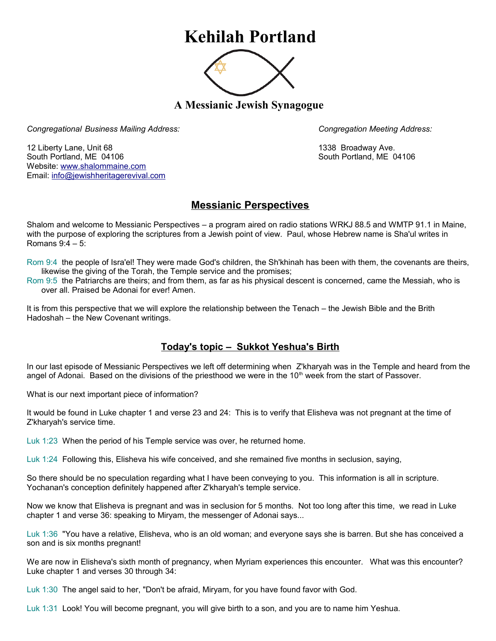## **Kehilah Portland**



**A Messianic Jewish Synagogue** 

*Congregational Business Mailing Address: Congregation Meeting Address:*

12 Liberty Lane, Unit 68 1338 Broadway Ave. South Portland, ME 04106 South Portland, ME 04106 Website: [www.shalommaine.com](http://www.shalommaine.com/) Email: [info@jewishheritagerevival.com](mailto:info@jewishheritagerevival.com) 

## **Messianic Perspectives**

Shalom and welcome to Messianic Perspectives – a program aired on radio stations WRKJ 88.5 and WMTP 91.1 in Maine, with the purpose of exploring the scriptures from a Jewish point of view. Paul, whose Hebrew name is Sha'ul writes in Romans 9:4 – 5:

Rom 9:4 the people of Isra'el! They were made God's children, the Sh'khinah has been with them, the covenants are theirs, likewise the giving of the Torah, the Temple service and the promises;

Rom 9:5 the Patriarchs are theirs; and from them, as far as his physical descent is concerned, came the Messiah, who is over all. Praised be Adonai for ever! Amen.

It is from this perspective that we will explore the relationship between the Tenach – the Jewish Bible and the Brith Hadoshah – the New Covenant writings.

## **Today's topic – Sukkot Yeshua's Birth**

In our last episode of Messianic Perspectives we left off determining when Z'kharyah was in the Temple and heard from the angel of Adonai. Based on the divisions of the priesthood we were in the 10<sup>th</sup> week from the start of Passover.

What is our next important piece of information?

It would be found in Luke chapter 1 and verse 23 and 24: This is to verify that Elisheva was not pregnant at the time of Z'kharyah's service time.

Luk 1:23 When the period of his Temple service was over, he returned home.

Luk 1:24 Following this, Elisheva his wife conceived, and she remained five months in seclusion, saying,

So there should be no speculation regarding what I have been conveying to you. This information is all in scripture. Yochanan's conception definitely happened after Z'kharyah's temple service.

Now we know that Elisheva is pregnant and was in seclusion for 5 months. Not too long after this time, we read in Luke chapter 1 and verse 36: speaking to Miryam, the messenger of Adonai says...

Luk 1:36 "You have a relative, Elisheva, who is an old woman; and everyone says she is barren. But she has conceived a son and is six months pregnant!

We are now in Elisheva's sixth month of pregnancy, when Myriam experiences this encounter. What was this encounter? Luke chapter 1 and verses 30 through 34:

Luk 1:30 The angel said to her, "Don't be afraid, Miryam, for you have found favor with God.

Luk 1:31 Look! You will become pregnant, you will give birth to a son, and you are to name him Yeshua.